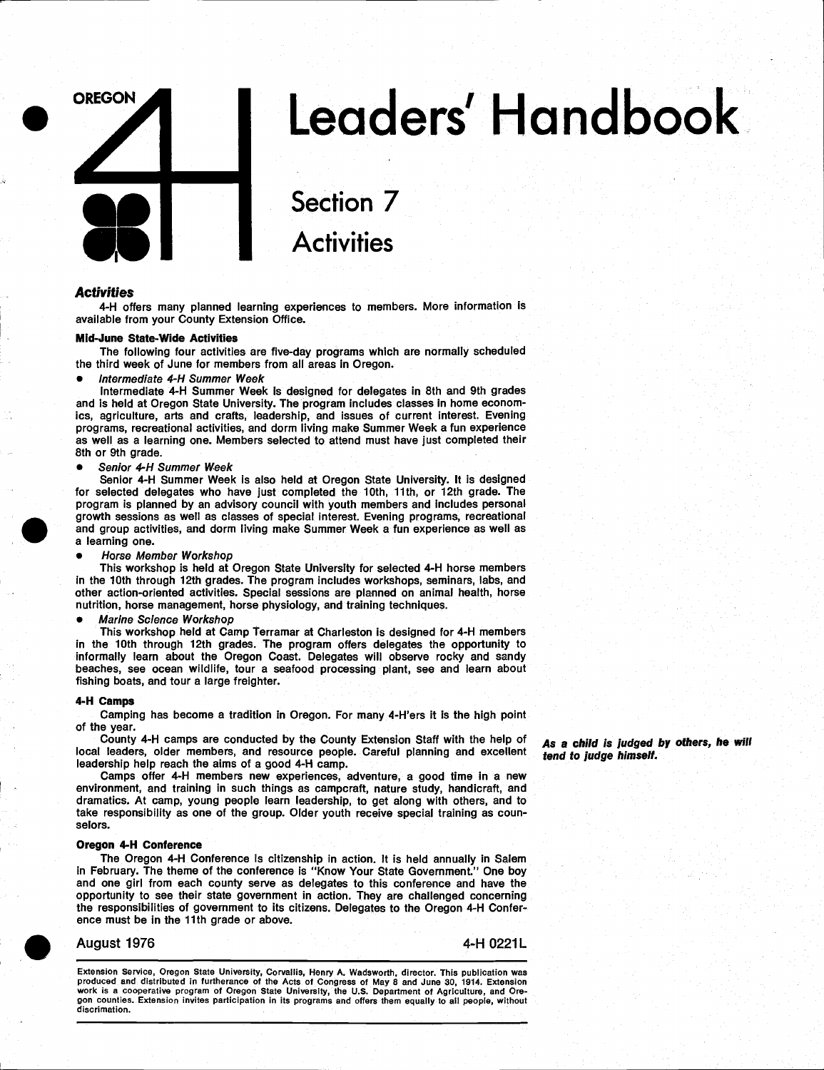

# Leaders' Handbook

## Section 7 **Activities**

#### **Activities**

4-H offers many planned learning experiences to members. More information is available from your County Extension Office.

#### Mid-June State-Wide Activities

The following four activities are five-day programs which are normally scheduled the third week of June for members from all areas in Oregon.

Intermediate 4-H Summer Week

Intermediate 4-H Summer Week is designed for delegates in 8th and 9th grades and is held at Oregon State University. The program includes classes in home economics, agriculture, arts and crafts, leadership, and issues of current interest. Evening programs, recreational activities, and dorm living make Summer Week a fun experience as well as a learning one. Members selected to attend must have just completed their 8th or 9th grade.

#### Senior 4-H Summer Week

program is planned by an advisory council with youth n<br>growth sessions as well as classes of special interest. I<br>and group activities, and dorm living make Summer We<br>a learning one.<br>Alorse Member Workshop Senior 4-H Summer Week is also held at Oregon State University. It is designed for selected delegates who have just completed the 10th, 11th, or 12th grade. The program is planned by an advisory council with youth members and includes personal growth sessions as well as classes of special interest. Evening programs, recreational and group activities, and dorm living make Summer Week a fun experience as well as a learning one.

Horse Member Workshop

This workshop is held at Oregon State University for selected 4-H horse members in the 10th through 12th grades. The program includes workshops, seminars, labs, and other action-oriented activities. Special sessions are planned on animal health, horse nutrition, horse management, horse physiology, and training techniques.

#### Marine Science Workshop

This workshop held at Camp Terramar at Charleston is designed for 4-H members in the 10th through 12th grades. The program offers delegates the opportunity to informally learn about the Oregon Coast. Delegates will observe rocky and sandy beaches, see ocean wildlife, tour a seafood processing plant, see and learn about fishing boats, and tour a large freighter.

#### 4-H Camps

Camping has become a tradition in Oregon. For many 4-H'ers it is the high point of the year.<br>County 4-H camps are conducted by the County Extension Staff with the help of

County 4-H camps are conducted by the County Extension Staff with the help of **As a child is judged by others, he will**<br>local leaders, older members, and resource people. Careful planning and excellent **tend to judge himse** 

Camps offer 4-H members new experiences, adventure, a good time in a new environment, and training in such things as camperaft, nature study, handicraft, and dramatics. At camp, young people learn leadership, to get along with others, and to take responsibility as one of the group. Older youth receive special training as counselors.

#### Oregon 4-H Conference

The Oregon 4-H Conference is citizenship in action. It is held annually in Salem in February. The theme of the conference is "Know Your State Government." One boy and one girl from each county serve as delegates to this conference and have the opportunity to see their state government in action They are challenged concerning the responsibilities of government to its citizens Delegates to the Oregon 4-H Conference must be in the 11th grade or above

### August 1976 4-H 0221L

Extension Service, Oregon State University, Corvallis, Henry A. Wadsworth, director. This publication was produced and distributed in furtherance of the Acts of Congress of May 8 and June 30, 1914. Extension work is a coop gon counties. Extension invites participation in its programs and offers them equaiiy to all people, without discrimation.